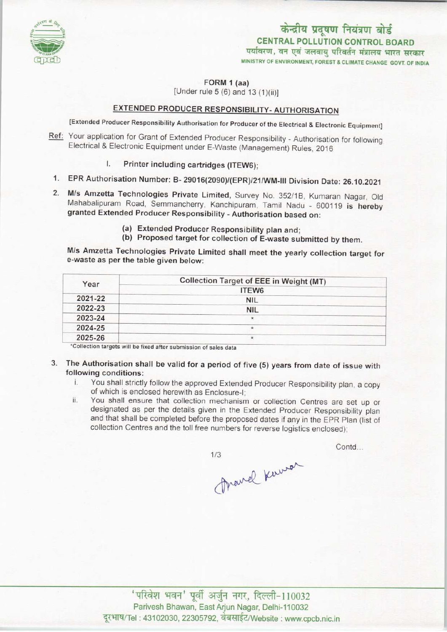

# केन्द्रीय प्रदूषण नियंत्रण बोर्ड CENTRAL POLLUTION CONTROL BOARD<br>पर्यावरण, वन एवं जलवायु परिवर्तन मंत्रालय भारत सरकार

MINISTRY OF ENVIRONMENT, FOREST & CLIMATE CHANGE GOVT. OF INDIA

FORM 1 (aa)

[Under rule  $5(6)$  and  $13(1)(ii)$ ]

## EXTENDED PRODUCER RESPONSIBILITY- AUTHORISATION

[Extended Producer Responsibility Authorisation for Producer of the Electrical & Electronic Equipment]

- Ref: Your application for Grant of Extended Producer Responsibility Authorisation for following Electrical & Electronic Equipment under E-Waste (Management) Rules, 2016
	- I. Printer including cartridges (ITEW6);
	- 1.EPR Authorisation Number: B- 29016(2090)/(EPR)/21/WM-lll Division Date: 26.10.2021
	- 2.M/s Amzetta Technologies Private Limited, Survey No. 352/1B. Kumaran Nagar, Old Mahabalipuram Road, Semmancherry, Kanchipuram, Tamil Nadu - 600119 is hereby granted Extended Producer Responsibility - Authorisation based on:
		- (a)Extended Producer Responsibility plan and;
		- (b) Proposed target for collection of E-waste submitted by them.

M/s Amzetta Technologies Private Limited shall meet the yearly collection target for e-waste as per the table given below:

| Year    | Collection Target of EEE in Weight (MT) |
|---------|-----------------------------------------|
|         | ITEW <sub>6</sub>                       |
| 2021-22 | <b>NIL</b>                              |
| 2022-23 | <b>NIL</b>                              |
| 2023-24 | $\star$                                 |
| 2024-25 |                                         |
| 2025-26 |                                         |

\*Collection targets will be fixed after submission of sales data

- 3. The Authorisation shall be valid for a period of five (5) years from date of issue with **following conditions:**<br>i. You shall strictly
	- You shall strictly follow the approved Extended Producer Responsibility plan, a copy of which is enclosed herewith as Enclosure-I;
	- ii. You shall ensure that collection mechanism or collection Centres are set up or designated as per the details given in the Extended Producer Responsibility plan and that shall be completed before the proposed dates if any in the EPR Plan (list of collection Centres and the toll free numbers for reverse logistics enclosed);

 $1/3$ 

Contd...

Marcel Kerrer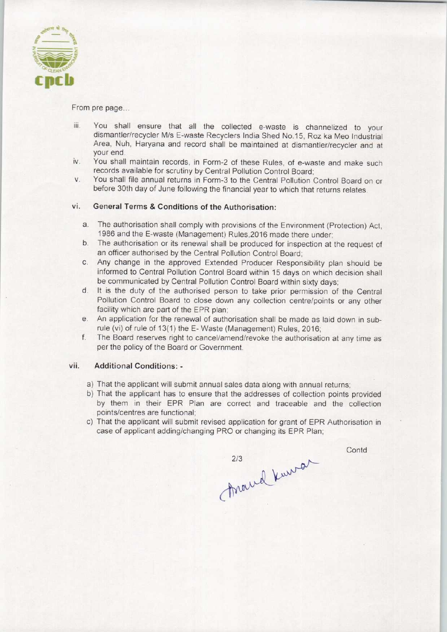

From pre page...

- iii. You shall ensure that all the collected e-waste is channelized to your dismantler/recycler M/s E-waste Recyclers India Shed No.15, Roz ka Meo Industrial Area, Nuh, Haryana and record shall be maintained at dismantler/recycler and at your end.
- iv. You shall maintain records, in Form-2 of these Rules, of e-waste and make such records available for scrutiny by Central Pollution Control Board;
- v. You shall file annual returns in Form-3 to the Central Pollution Control Board on or before 30th day of June following the financial year to which that returns relates.

### vi. General Terms & Conditions of the Authorisation:

- a.The authorisation shall comply with provisions of the Environment (Protection) Act, 1986 and the E-waste (Management) Rules,2016 made there under;
- b. The authorisation or its renewal shall be produced for inspection at the request of an officer authorised by the Central Pollution Control Board;
- c.Any change in the approved Extended Producer Responsibility plan should be informed to Central Pollution Control Board within 15 days on which decision shall be communicated by Central Pollution Control Board within sixty days;
- d. It is the duty of the authorised person to take prior permission of the Central Pollution Control Board to close down any collection centre/points or any other facility which are part of the EPR plan;
- e.An application for the renewal of authorisation shall be made as laid down in subrule (vi) of rule of 13(1) the E-Waste (Management) Rules, 2016;
- f. The Board reserves right to cancel/amend/revoke the authorisation at any time as per the policy of the Board or Government.

#### vii. Additional Conditions: -

- a)That the applicant will submit annual sales data along with annual returns;
- b) That the applicant has to ensure that the addresses of collection points provided by them in their EPR Plan are correct and traceable and the collection points/centres are functional;
- c) That the applicant will submit revised application for grant of EPR Authorisation in case of applicant adding/changing PRO or changing its EPR Plan;

**Contd** 

marrel Kurran